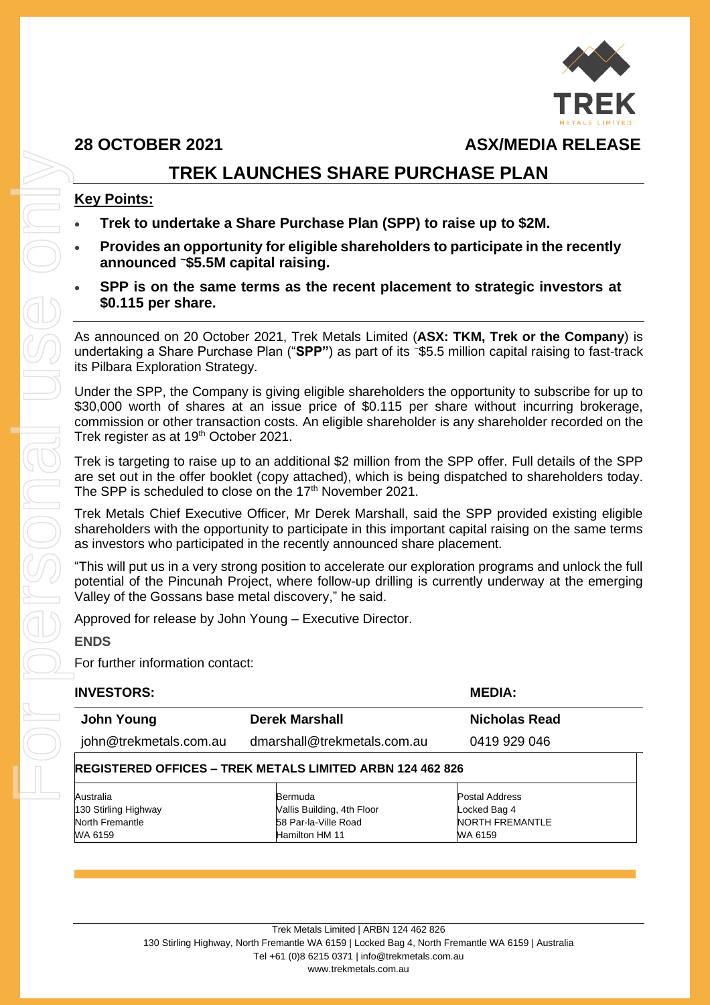

**28 OCTOBER 2021 ASX/MEDIA RELEASE**

### **TREK LAUNCHES SHARE PURCHASE PLAN**

#### **Key Points:**

- **Trek to undertake a Share Purchase Plan (SPP) to raise up to \$2M.**
- **Provides an opportunity for eligible shareholders to participate in the recently announced <sup>~</sup>\$5.5M capital raising.**
- **SPP is on the same terms as the recent placement to strategic investors at \$0.115 per share.**

As announced on 20 October 2021, Trek Metals Limited (**ASX: TKM, Trek or the Company**) is undertaking a Share Purchase Plan ("**SPP"**) as part of its <sup>~</sup>\$5.5 million capital raising to fast-track its Pilbara Exploration Strategy.

Under the SPP, the Company is giving eligible shareholders the opportunity to subscribe for up to \$30,000 worth of shares at an issue price of \$0.115 per share without incurring brokerage, commission or other transaction costs. An eligible shareholder is any shareholder recorded on the Trek register as at 19<sup>th</sup> October 2021.

Trek is targeting to raise up to an additional \$2 million from the SPP offer. Full details of the SPP are set out in the offer booklet (copy attached), which is being dispatched to shareholders today. The SPP is scheduled to close on the 17<sup>th</sup> November 2021.

Trek Metals Chief Executive Officer, Mr Derek Marshall, said the SPP provided existing eligible shareholders with the opportunity to participate in this important capital raising on the same terms as investors who participated in the recently announced share placement.

"This will put us in a very strong position to accelerate our exploration programs and unlock the full potential of the Pincunah Project, where follow-up drilling is currently underway at the emerging Valley of the Gossans base metal discovery," he said.

Approved for release by John Young – Executive Director.

#### **ENDS**

For further information contact:

| <b>INVESTORS:</b>                 |                                                                  | <b>MEDIA:</b>                     |  |
|-----------------------------------|------------------------------------------------------------------|-----------------------------------|--|
| <b>John Young</b>                 | <b>Derek Marshall</b>                                            | Nicholas Read                     |  |
| john@trekmetals.com.au            | dmarshall@trekmetals.com.au                                      | 0419 929 046                      |  |
|                                   | <b>REGISTERED OFFICES – TREK METALS LIMITED ARBN 124 462 826</b> |                                   |  |
| Australia<br>130 Stirling Highway | Bermuda<br>Vallis Building, 4th Floor                            | Postal Address<br>Locked Bag 4    |  |
| North Fremantle<br>WA 6159        | 58 Par-la-Ville Road<br>Hamilton HM 11                           | <b>NORTH FREMANTLE</b><br>WA 6159 |  |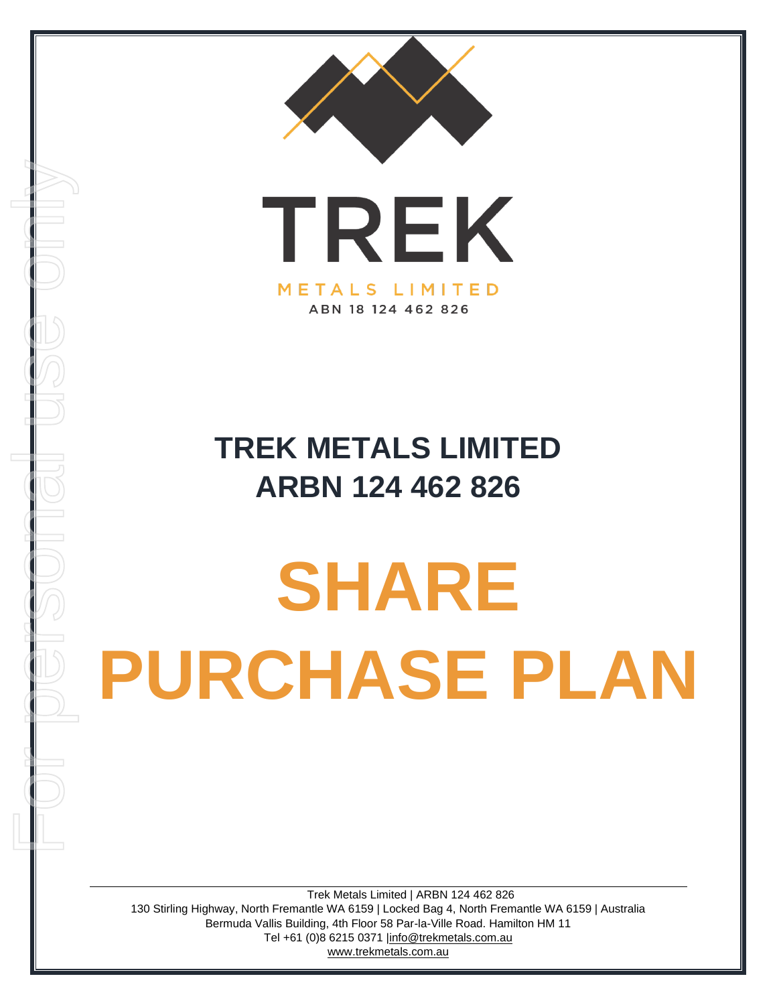

METALS LIMITED ABN 18 124 462 826

## **TREK METALS LIMITED ARBN 124 462 826**

For personal use only

# **SHARE PURCHASE PLAN**

Trek Metals Limited | ARBN 124 462 826 130 Stirling Highway, North Fremantle WA 6159 | Locked Bag 4, North Fremantle WA 6159 | Australia Bermuda Vallis Building, 4th Floor 58 Par-la-Ville Road. Hamilton HM 11 Tel +61 (0)8 6215 0371 [|info@trekmetals.com.au](mailto:info@trekmetals.com.au) [www.trekmetals.com.au](http://www.trekmetals.com.au/)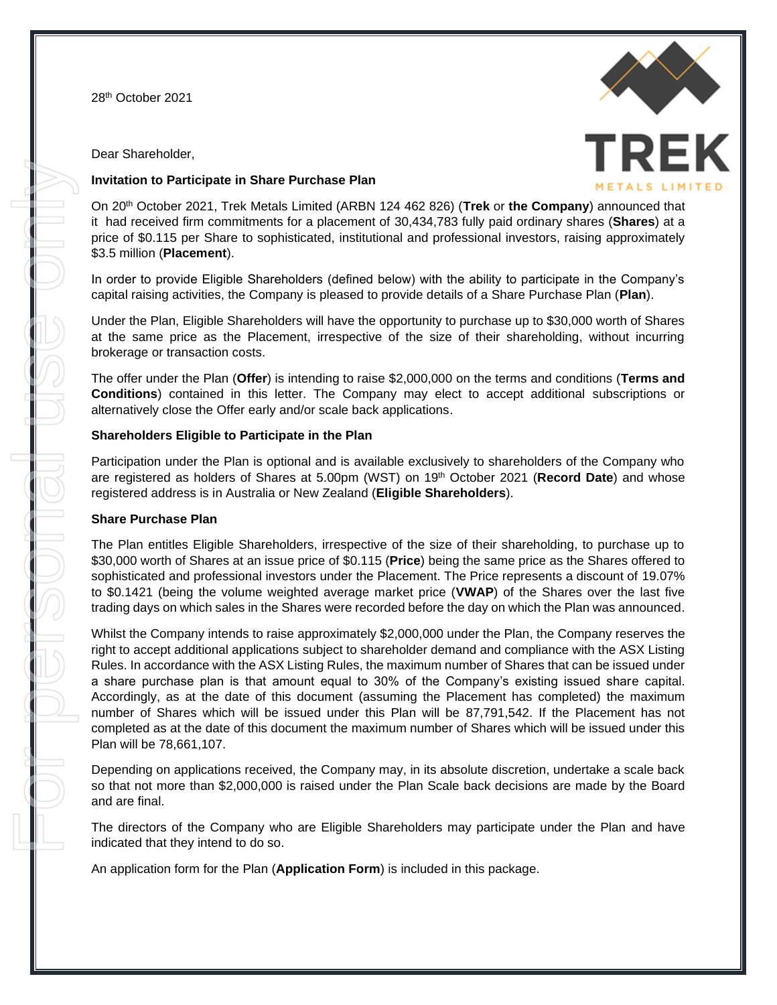28th October 2021



Dear Shareholder,

#### **Invitation to Participate in Share Purchase Plan**

On 20th October 2021, Trek Metals Limited (ARBN 124 462 826) (**Trek** or **the Company**) announced that it had received firm commitments for a placement of 30,434,783 fully paid ordinary shares (**Shares**) at a price of \$0.115 per Share to sophisticated, institutional and professional investors, raising approximately \$3.5 million (**Placement**).

In order to provide Eligible Shareholders (defined below) with the ability to participate in the Company's capital raising activities, the Company is pleased to provide details of a Share Purchase Plan (**Plan**).

Under the Plan, Eligible Shareholders will have the opportunity to purchase up to \$30,000 worth of Shares at the same price as the Placement, irrespective of the size of their shareholding, without incurring brokerage or transaction costs.

The offer under the Plan (**Offer**) is intending to raise \$2,000,000 on the terms and conditions (**Terms and Conditions**) contained in this letter. The Company may elect to accept additional subscriptions or alternatively close the Offer early and/or scale back applications.

#### **Shareholders Eligible to Participate in the Plan**

Participation under the Plan is optional and is available exclusively to shareholders of the Company who are registered as holders of Shares at 5.00pm (WST) on 19th October 2021 (**Record Date**) and whose registered address is in Australia or New Zealand (**Eligible Shareholders**).

#### **Share Purchase Plan**

The Plan entitles Eligible Shareholders, irrespective of the size of their shareholding, to purchase up to \$30,000 worth of Shares at an issue price of \$0.115 (**Price**) being the same price as the Shares offered to sophisticated and professional investors under the Placement. The Price represents a discount of 19.07% to \$0.1421 (being the volume weighted average market price (**VWAP**) of the Shares over the last five trading days on which sales in the Shares were recorded before the day on which the Plan was announced.

Whilst the Company intends to raise approximately \$2,000,000 under the Plan, the Company reserves the right to accept additional applications subject to shareholder demand and compliance with the ASX Listing Rules. In accordance with the ASX Listing Rules, the maximum number of Shares that can be issued under a share purchase plan is that amount equal to 30% of the Company's existing issued share capital. Accordingly, as at the date of this document (assuming the Placement has completed) the maximum number of Shares which will be issued under this Plan will be 87,791,542. If the Placement has not completed as at the date of this document the maximum number of Shares which will be issued under this Plan will be 78,661,107.

Depending on applications received, the Company may, in its absolute discretion, undertake a scale back so that not more than \$2,000,000 is raised under the Plan Scale back decisions are made by the Board and are final.

The directors of the Company who are Eligible Shareholders may participate under the Plan and have indicated that they intend to do so.

An application form for the Plan (**Application Form**) is included in this package.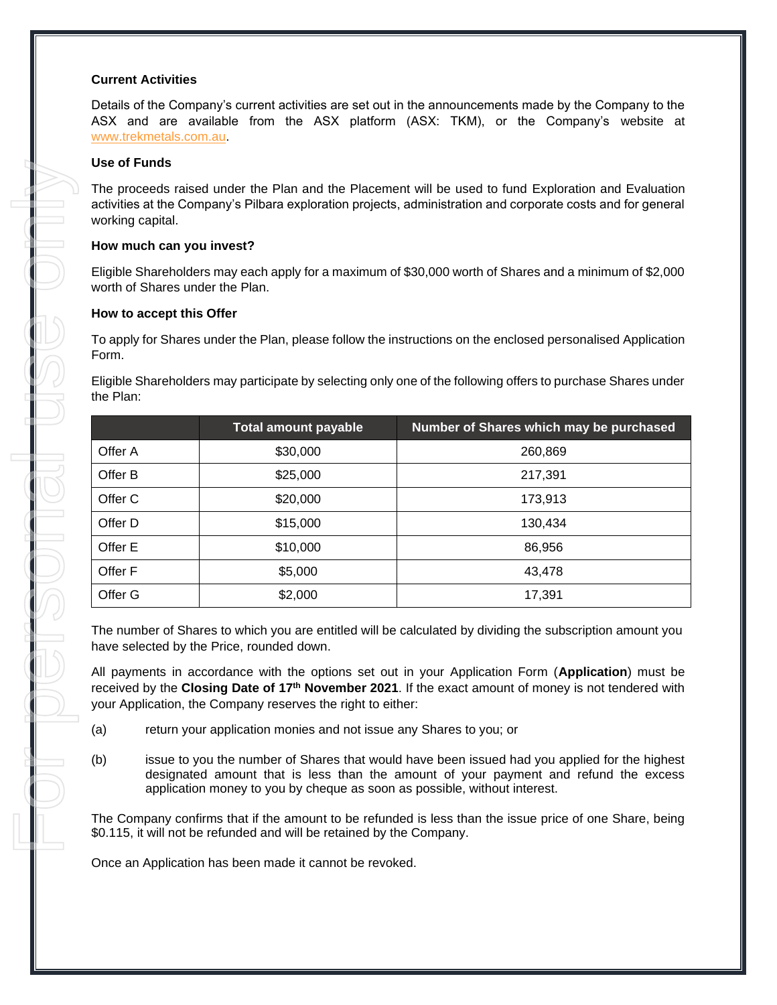#### **Current Activities**

Details of the Company's current activities are set out in the announcements made by the Company to the ASX and are available from the ASX platform (ASX: TKM), or the Company's website at [www.trekmetals.com.au.](http://www.trekmetals.com.au/)

#### **Use of Funds**

The proceeds raised under the Plan and the Placement will be used to fund Exploration and Evaluation activities at the Company's Pilbara exploration projects, administration and corporate costs and for general working capital.

#### **How much can you invest?**

Eligible Shareholders may each apply for a maximum of \$30,000 worth of Shares and a minimum of \$2,000 worth of Shares under the Plan.

#### **How to accept this Offer**

To apply for Shares under the Plan, please follow the instructions on the enclosed personalised Application Form.

Eligible Shareholders may participate by selecting only one of the following offers to purchase Shares under the Plan:

|         | <b>Total amount payable</b> | Number of Shares which may be purchased |
|---------|-----------------------------|-----------------------------------------|
| Offer A | \$30,000                    | 260,869                                 |
| Offer B | \$25,000                    | 217,391                                 |
| Offer C | \$20,000                    | 173,913                                 |
| Offer D | \$15,000                    | 130,434                                 |
| Offer E | \$10,000                    | 86,956                                  |
| Offer F | \$5,000                     | 43,478                                  |
| Offer G | \$2,000                     | 17,391                                  |

The number of Shares to which you are entitled will be calculated by dividing the subscription amount you have selected by the Price, rounded down.

All payments in accordance with the options set out in your Application Form (**Application**) must be received by the **Closing Date of 17th November 2021**. If the exact amount of money is not tendered with your Application, the Company reserves the right to either:

- (a) return your application monies and not issue any Shares to you; or
- (b) issue to you the number of Shares that would have been issued had you applied for the highest designated amount that is less than the amount of your payment and refund the excess application money to you by cheque as soon as possible, without interest.

The Company confirms that if the amount to be refunded is less than the issue price of one Share, being \$0.115, it will not be refunded and will be retained by the Company.

Once an Application has been made it cannot be revoked.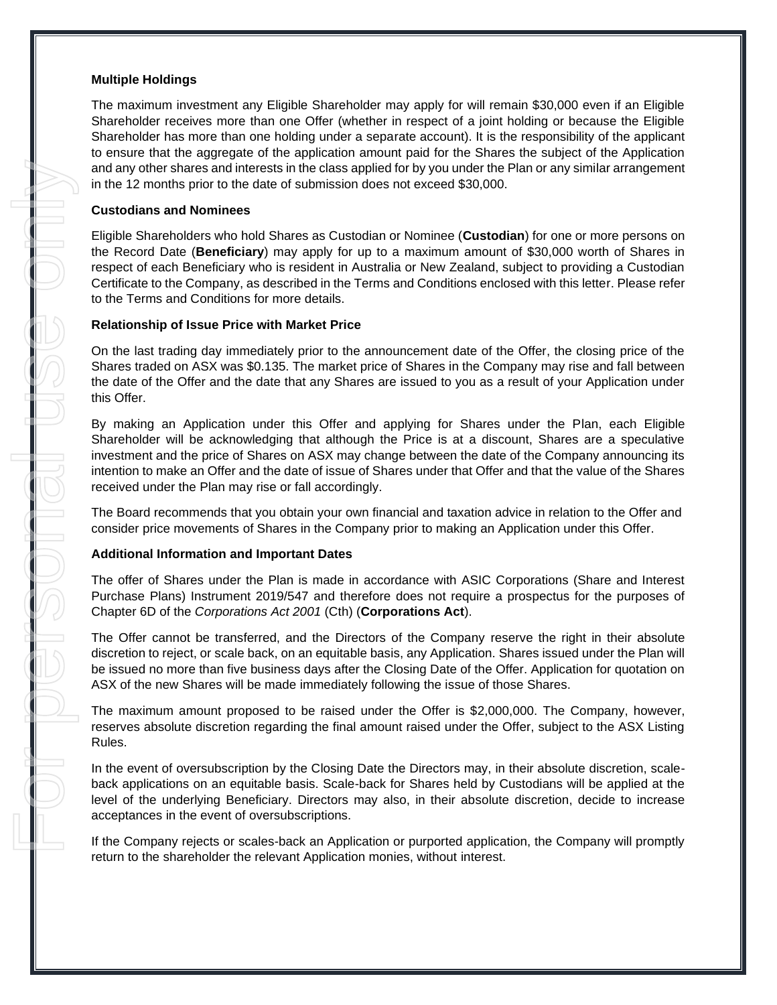#### **Multiple Holdings**

The maximum investment any Eligible Shareholder may apply for will remain \$30,000 even if an Eligible Shareholder receives more than one Offer (whether in respect of a joint holding or because the Eligible Shareholder has more than one holding under a separate account). It is the responsibility of the applicant to ensure that the aggregate of the application amount paid for the Shares the subject of the Application and any other shares and interests in the class applied for by you under the Plan or any similar arrangement in the 12 months prior to the date of submission does not exceed \$30,000.

#### **Custodians and Nominees**

Eligible Shareholders who hold Shares as Custodian or Nominee (**Custodian**) for one or more persons on the Record Date (**Beneficiary**) may apply for up to a maximum amount of \$30,000 worth of Shares in respect of each Beneficiary who is resident in Australia or New Zealand, subject to providing a Custodian Certificate to the Company, as described in the Terms and Conditions enclosed with this letter. Please refer to the Terms and Conditions for more details.

#### **Relationship of Issue Price with Market Price**

On the last trading day immediately prior to the announcement date of the Offer, the closing price of the Shares traded on ASX was \$0.135. The market price of Shares in the Company may rise and fall between the date of the Offer and the date that any Shares are issued to you as a result of your Application under this Offer.

By making an Application under this Offer and applying for Shares under the Plan, each Eligible Shareholder will be acknowledging that although the Price is at a discount, Shares are a speculative investment and the price of Shares on ASX may change between the date of the Company announcing its intention to make an Offer and the date of issue of Shares under that Offer and that the value of the Shares received under the Plan may rise or fall accordingly.

The Board recommends that you obtain your own financial and taxation advice in relation to the Offer and consider price movements of Shares in the Company prior to making an Application under this Offer.

#### **Additional Information and Important Dates**

The offer of Shares under the Plan is made in accordance with ASIC Corporations (Share and Interest Purchase Plans) Instrument 2019/547 and therefore does not require a prospectus for the purposes of Chapter 6D of the *Corporations Act 2001* (Cth) (**Corporations Act**).

The Offer cannot be transferred, and the Directors of the Company reserve the right in their absolute discretion to reject, or scale back, on an equitable basis, any Application. Shares issued under the Plan will be issued no more than five business days after the Closing Date of the Offer. Application for quotation on ASX of the new Shares will be made immediately following the issue of those Shares.

The maximum amount proposed to be raised under the Offer is \$2,000,000. The Company, however, reserves absolute discretion regarding the final amount raised under the Offer, subject to the ASX Listing Rules.

In the event of oversubscription by the Closing Date the Directors may, in their absolute discretion, scaleback applications on an equitable basis. Scale-back for Shares held by Custodians will be applied at the level of the underlying Beneficiary. Directors may also, in their absolute discretion, decide to increase acceptances in the event of oversubscriptions.

If the Company rejects or scales-back an Application or purported application, the Company will promptly return to the shareholder the relevant Application monies, without interest.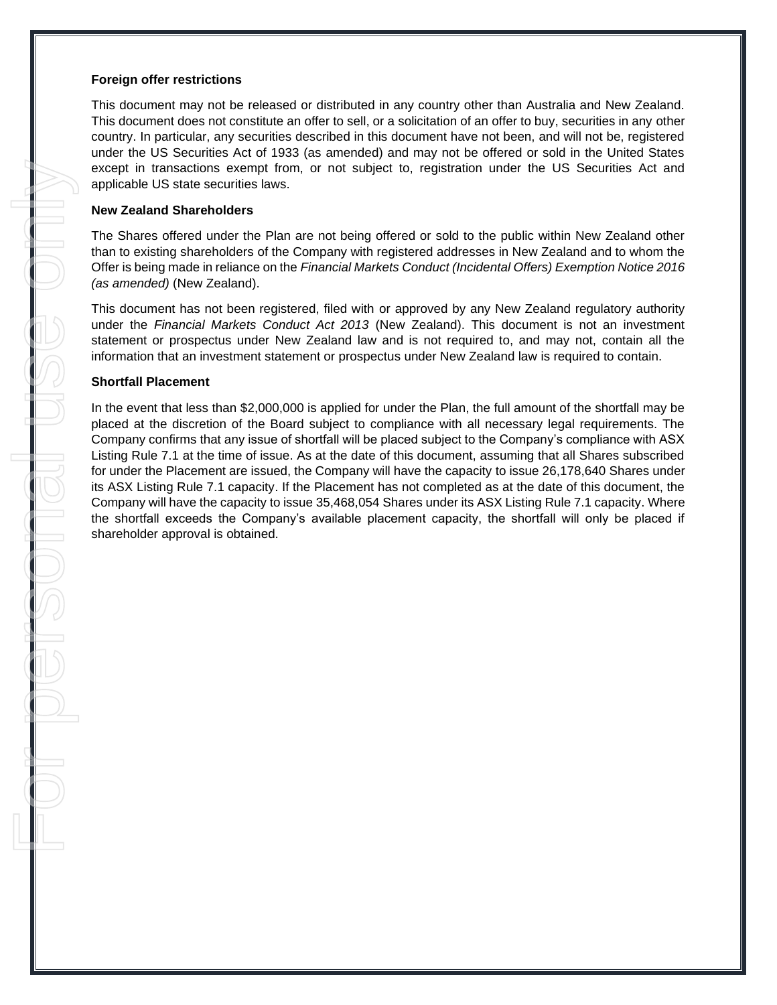#### **Foreign offer restrictions**

This document may not be released or distributed in any country other than Australia and New Zealand. This document does not constitute an offer to sell, or a solicitation of an offer to buy, securities in any other country. In particular, any securities described in this document have not been, and will not be, registered under the US Securities Act of 1933 (as amended) and may not be offered or sold in the United States except in transactions exempt from, or not subject to, registration under the US Securities Act and applicable US state securities laws.

#### **New Zealand Shareholders**

The Shares offered under the Plan are not being offered or sold to the public within New Zealand other than to existing shareholders of the Company with registered addresses in New Zealand and to whom the Offer is being made in reliance on the *Financial Markets Conduct (Incidental Offers) Exemption Notice 2016 (as amended)* (New Zealand).

This document has not been registered, filed with or approved by any New Zealand regulatory authority under the *Financial Markets Conduct Act 2013* (New Zealand). This document is not an investment statement or prospectus under New Zealand law and is not required to, and may not, contain all the information that an investment statement or prospectus under New Zealand law is required to contain.

#### **Shortfall Placement**

In the event that less than \$2,000,000 is applied for under the Plan, the full amount of the shortfall may be placed at the discretion of the Board subject to compliance with all necessary legal requirements. The Company confirms that any issue of shortfall will be placed subject to the Company's compliance with ASX Listing Rule 7.1 at the time of issue. As at the date of this document, assuming that all Shares subscribed for under the Placement are issued, the Company will have the capacity to issue 26,178,640 Shares under its ASX Listing Rule 7.1 capacity. If the Placement has not completed as at the date of this document, the Company will have the capacity to issue 35,468,054 Shares under its ASX Listing Rule 7.1 capacity. Where the shortfall exceeds the Company's available placement capacity, the shortfall will only be placed if shareholder approval is obtained.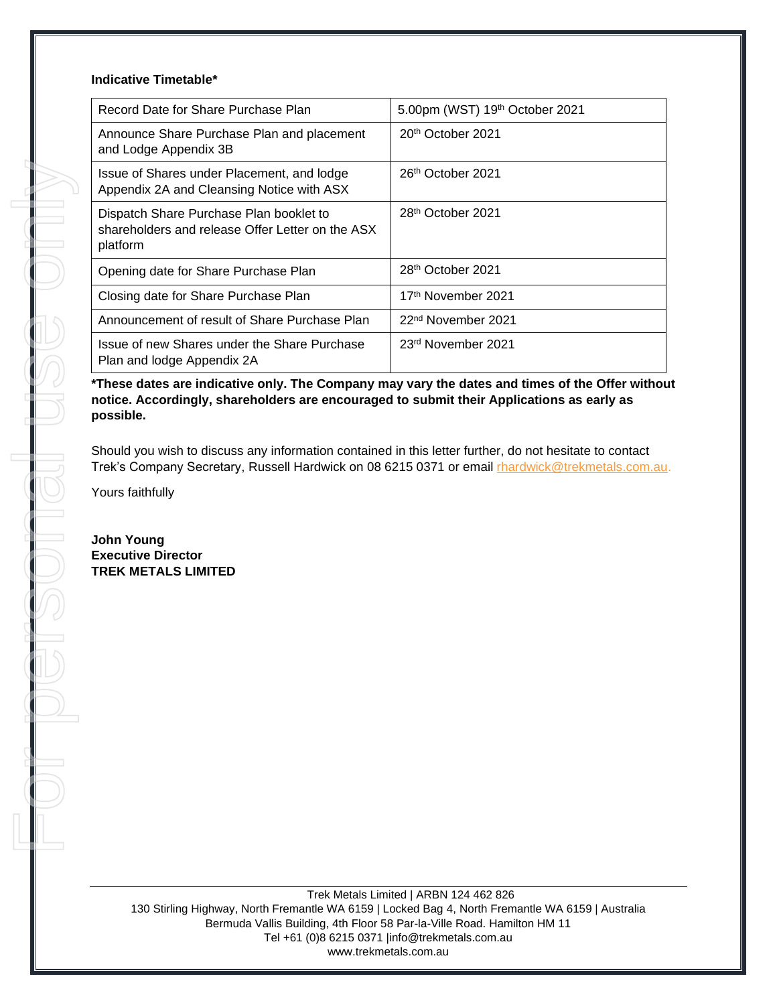#### **Indicative Timetable\***

| Record Date for Share Purchase Plan                                                                     | 5.00pm (WST) 19th October 2021 |
|---------------------------------------------------------------------------------------------------------|--------------------------------|
| Announce Share Purchase Plan and placement<br>and Lodge Appendix 3B                                     | 20 <sup>th</sup> October 2021  |
| Issue of Shares under Placement, and lodge<br>Appendix 2A and Cleansing Notice with ASX                 | 26 <sup>th</sup> October 2021  |
| Dispatch Share Purchase Plan booklet to<br>shareholders and release Offer Letter on the ASX<br>platform | 28 <sup>th</sup> October 2021  |
| Opening date for Share Purchase Plan                                                                    | 28 <sup>th</sup> October 2021  |
| Closing date for Share Purchase Plan                                                                    | 17 <sup>th</sup> November 2021 |
| Announcement of result of Share Purchase Plan                                                           | 22 <sup>nd</sup> November 2021 |
| Issue of new Shares under the Share Purchase<br>Plan and lodge Appendix 2A                              | 23 <sup>rd</sup> November 2021 |

**\*These dates are indicative only. The Company may vary the dates and times of the Offer without notice. Accordingly, shareholders are encouraged to submit their Applications as early as possible.**

Should you wish to discuss any information contained in this letter further, do not hesitate to contact Trek's Company Secretary, Russell Hardwick on 08 6215 0371 or email *rhardwick@trekmetals.com.au.* 

Yours faithfully

**John Young Executive Director TREK METALS LIMITED**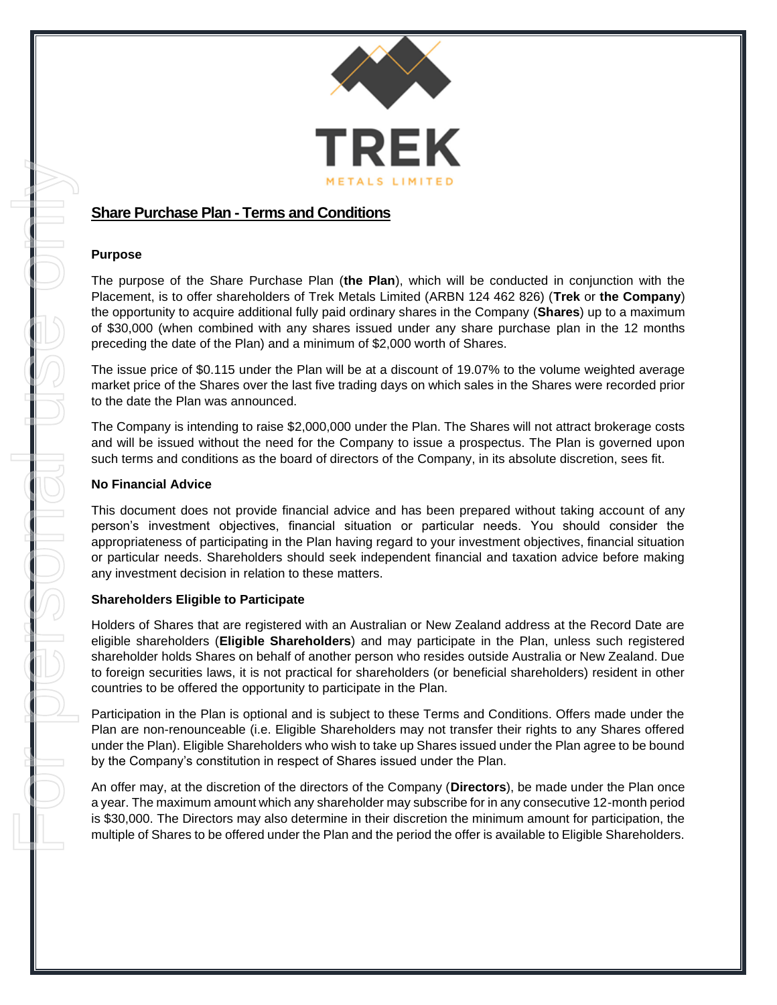

#### **Share Purchase Plan - Terms and Conditions**

#### **Purpose**

The purpose of the Share Purchase Plan (**the Plan**), which will be conducted in conjunction with the Placement, is to offer shareholders of Trek Metals Limited (ARBN 124 462 826) (**Trek** or **the Company**) the opportunity to acquire additional fully paid ordinary shares in the Company (**Shares**) up to a maximum of \$30,000 (when combined with any shares issued under any share purchase plan in the 12 months preceding the date of the Plan) and a minimum of \$2,000 worth of Shares.

The issue price of \$0.115 under the Plan will be at a discount of 19.07% to the volume weighted average market price of the Shares over the last five trading days on which sales in the Shares were recorded prior to the date the Plan was announced.

The Company is intending to raise \$2,000,000 under the Plan. The Shares will not attract brokerage costs and will be issued without the need for the Company to issue a prospectus. The Plan is governed upon such terms and conditions as the board of directors of the Company, in its absolute discretion, sees fit.

#### **No Financial Advice**

This document does not provide financial advice and has been prepared without taking account of any person's investment objectives, financial situation or particular needs. You should consider the appropriateness of participating in the Plan having regard to your investment objectives, financial situation or particular needs. Shareholders should seek independent financial and taxation advice before making any investment decision in relation to these matters.

#### **Shareholders Eligible to Participate**

Holders of Shares that are registered with an Australian or New Zealand address at the Record Date are eligible shareholders (**Eligible Shareholders**) and may participate in the Plan, unless such registered shareholder holds Shares on behalf of another person who resides outside Australia or New Zealand. Due to foreign securities laws, it is not practical for shareholders (or beneficial shareholders) resident in other countries to be offered the opportunity to participate in the Plan.

Participation in the Plan is optional and is subject to these Terms and Conditions. Offers made under the Plan are non-renounceable (i.e. Eligible Shareholders may not transfer their rights to any Shares offered under the Plan). Eligible Shareholders who wish to take up Shares issued under the Plan agree to be bound by the Company's constitution in respect of Shares issued under the Plan.

An offer may, at the discretion of the directors of the Company (**Directors**), be made under the Plan once a year. The maximum amount which any shareholder may subscribe for in any consecutive 12-month period is \$30,000. The Directors may also determine in their discretion the minimum amount for participation, the multiple of Shares to be offered under the Plan and the period the offer is available to Eligible Shareholders.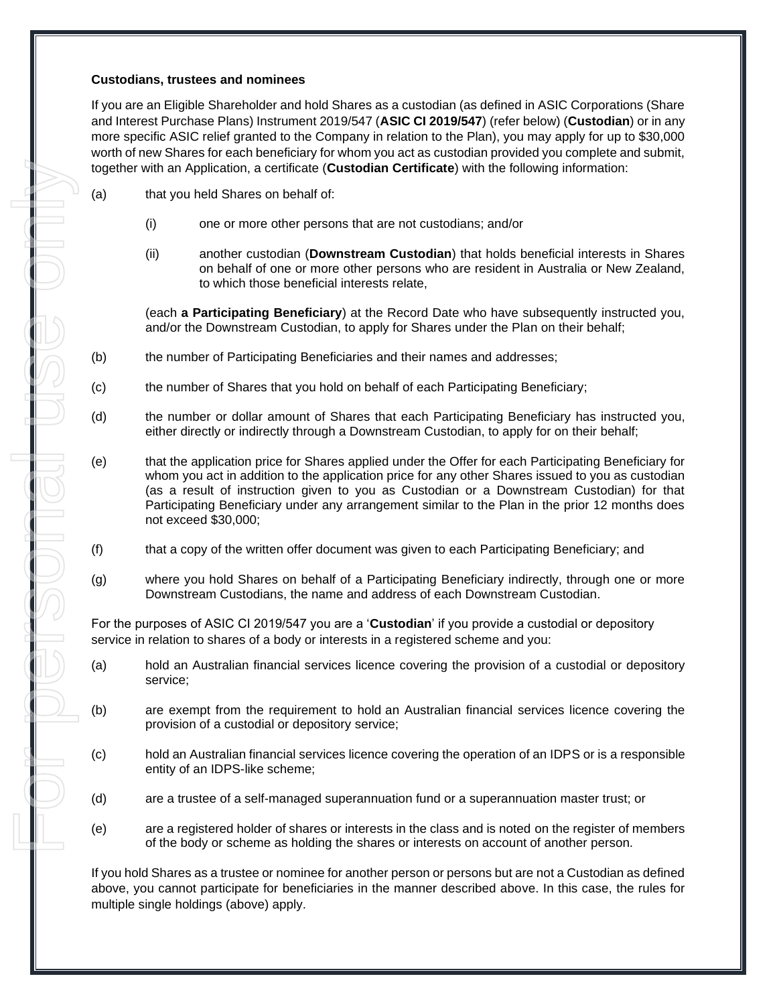#### **Custodians, trustees and nominees**

If you are an Eligible Shareholder and hold Shares as a custodian (as defined in ASIC Corporations (Share and Interest Purchase Plans) Instrument 2019/547 (**ASIC CI 2019/547**) (refer below) (**Custodian**) or in any more specific ASIC relief granted to the Company in relation to the Plan), you may apply for up to \$30,000 worth of new Shares for each beneficiary for whom you act as custodian provided you complete and submit, together with an Application, a certificate (**Custodian Certificate**) with the following information:

- (a) that you held Shares on behalf of:
	- (i) one or more other persons that are not custodians; and/or
	- (ii) another custodian (**Downstream Custodian**) that holds beneficial interests in Shares on behalf of one or more other persons who are resident in Australia or New Zealand, to which those beneficial interests relate,

(each **a Participating Beneficiary**) at the Record Date who have subsequently instructed you, and/or the Downstream Custodian, to apply for Shares under the Plan on their behalf;

- (b) the number of Participating Beneficiaries and their names and addresses;
- (c) the number of Shares that you hold on behalf of each Participating Beneficiary;
- (d) the number or dollar amount of Shares that each Participating Beneficiary has instructed you, either directly or indirectly through a Downstream Custodian, to apply for on their behalf;
- (e) that the application price for Shares applied under the Offer for each Participating Beneficiary for whom you act in addition to the application price for any other Shares issued to you as custodian (as a result of instruction given to you as Custodian or a Downstream Custodian) for that Participating Beneficiary under any arrangement similar to the Plan in the prior 12 months does not exceed \$30,000;
- (f) that a copy of the written offer document was given to each Participating Beneficiary; and
- (g) where you hold Shares on behalf of a Participating Beneficiary indirectly, through one or more Downstream Custodians, the name and address of each Downstream Custodian.

For the purposes of ASIC CI 2019/547 you are a '**Custodian**' if you provide a custodial or depository service in relation to shares of a body or interests in a registered scheme and you:

- (a) hold an Australian financial services licence covering the provision of a custodial or depository service;
- (b) are exempt from the requirement to hold an Australian financial services licence covering the provision of a custodial or depository service;
- (c) hold an Australian financial services licence covering the operation of an IDPS or is a responsible entity of an IDPS-like scheme;
- (d) are a trustee of a self-managed superannuation fund or a superannuation master trust; or
- (e) are a registered holder of shares or interests in the class and is noted on the register of members of the body or scheme as holding the shares or interests on account of another person.

If you hold Shares as a trustee or nominee for another person or persons but are not a Custodian as defined above, you cannot participate for beneficiaries in the manner described above. In this case, the rules for multiple single holdings (above) apply.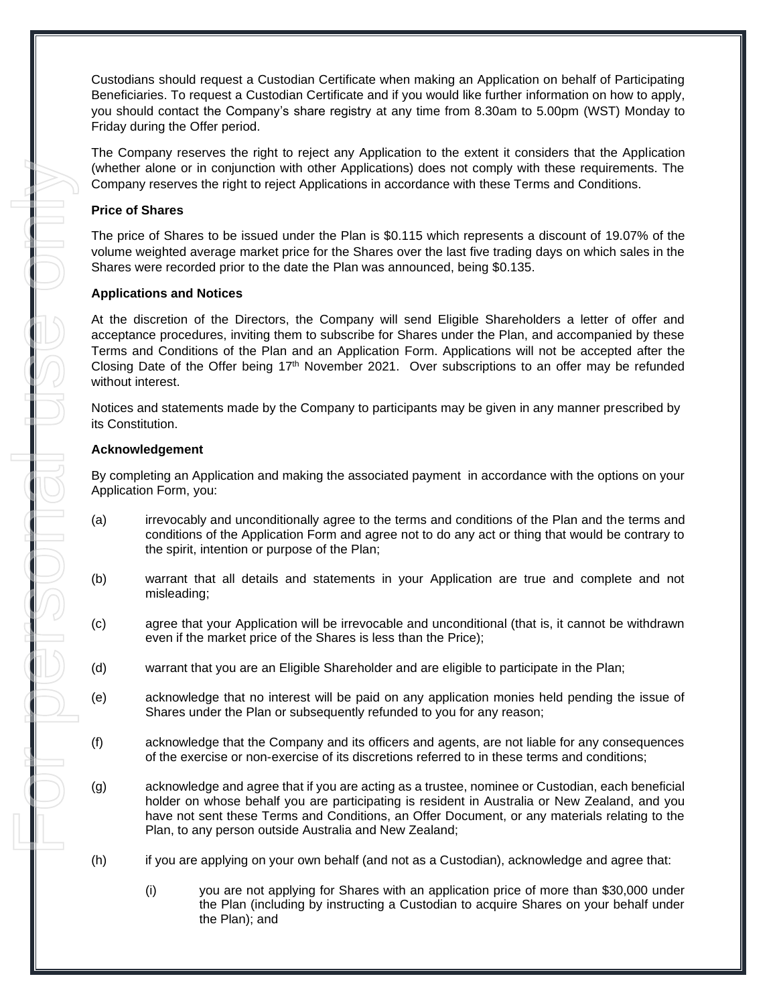Custodians should request a Custodian Certificate when making an Application on behalf of Participating Beneficiaries. To request a Custodian Certificate and if you would like further information on how to apply, you should contact the Company's share registry at any time from 8.30am to 5.00pm (WST) Monday to Friday during the Offer period.

The Company reserves the right to reject any Application to the extent it considers that the Application (whether alone or in conjunction with other Applications) does not comply with these requirements. The Company reserves the right to reject Applications in accordance with these Terms and Conditions.

#### **Price of Shares**

The price of Shares to be issued under the Plan is \$0.115 which represents a discount of 19.07% of the volume weighted average market price for the Shares over the last five trading days on which sales in the Shares were recorded prior to the date the Plan was announced, being \$0.135.

#### **Applications and Notices**

At the discretion of the Directors, the Company will send Eligible Shareholders a letter of offer and acceptance procedures, inviting them to subscribe for Shares under the Plan, and accompanied by these Terms and Conditions of the Plan and an Application Form. Applications will not be accepted after the Closing Date of the Offer being 17th November 2021. Over subscriptions to an offer may be refunded without interest.

Notices and statements made by the Company to participants may be given in any manner prescribed by its Constitution.

#### **Acknowledgement**

By completing an Application and making the associated payment in accordance with the options on your Application Form, you:

- (a) irrevocably and unconditionally agree to the terms and conditions of the Plan and the terms and conditions of the Application Form and agree not to do any act or thing that would be contrary to the spirit, intention or purpose of the Plan;
- (b) warrant that all details and statements in your Application are true and complete and not misleading;
- (c) agree that your Application will be irrevocable and unconditional (that is, it cannot be withdrawn even if the market price of the Shares is less than the Price);
- (d) warrant that you are an Eligible Shareholder and are eligible to participate in the Plan;
- (e) acknowledge that no interest will be paid on any application monies held pending the issue of Shares under the Plan or subsequently refunded to you for any reason;
- (f) acknowledge that the Company and its officers and agents, are not liable for any consequences of the exercise or non-exercise of its discretions referred to in these terms and conditions;
- (g) acknowledge and agree that if you are acting as a trustee, nominee or Custodian, each beneficial holder on whose behalf you are participating is resident in Australia or New Zealand, and you have not sent these Terms and Conditions, an Offer Document, or any materials relating to the Plan, to any person outside Australia and New Zealand;
- (h) if you are applying on your own behalf (and not as a Custodian), acknowledge and agree that:
	- (i) you are not applying for Shares with an application price of more than \$30,000 under the Plan (including by instructing a Custodian to acquire Shares on your behalf under the Plan); and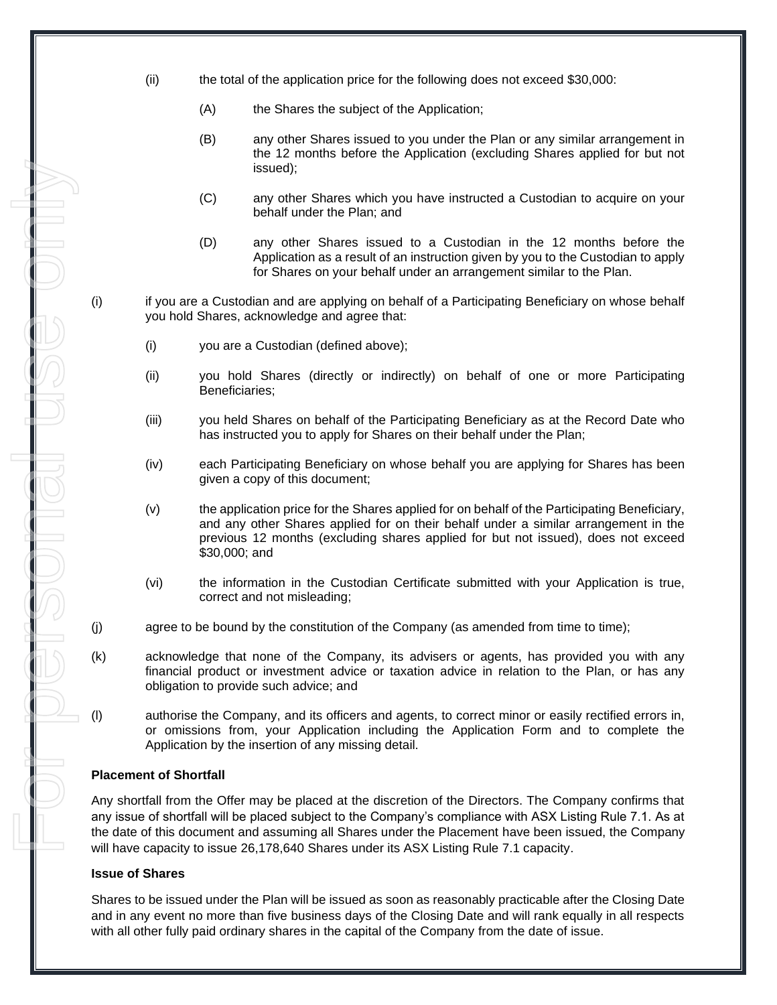- (ii) the total of the application price for the following does not exceed \$30,000:
	- (A) the Shares the subject of the Application;
	- (B) any other Shares issued to you under the Plan or any similar arrangement in the 12 months before the Application (excluding Shares applied for but not issued);
	- (C) any other Shares which you have instructed a Custodian to acquire on your behalf under the Plan; and
	- (D) any other Shares issued to a Custodian in the 12 months before the Application as a result of an instruction given by you to the Custodian to apply for Shares on your behalf under an arrangement similar to the Plan.
- (i) if you are a Custodian and are applying on behalf of a Participating Beneficiary on whose behalf you hold Shares, acknowledge and agree that:
	- (i) you are a Custodian (defined above);
	- (ii) you hold Shares (directly or indirectly) on behalf of one or more Participating Beneficiaries;
	- (iii) you held Shares on behalf of the Participating Beneficiary as at the Record Date who has instructed you to apply for Shares on their behalf under the Plan;
	- (iv) each Participating Beneficiary on whose behalf you are applying for Shares has been given a copy of this document;
	- (v) the application price for the Shares applied for on behalf of the Participating Beneficiary, and any other Shares applied for on their behalf under a similar arrangement in the previous 12 months (excluding shares applied for but not issued), does not exceed \$30,000; and
	- (vi) the information in the Custodian Certificate submitted with your Application is true, correct and not misleading;
- (j) agree to be bound by the constitution of the Company (as amended from time to time);
- (k) acknowledge that none of the Company, its advisers or agents, has provided you with any financial product or investment advice or taxation advice in relation to the Plan, or has any obligation to provide such advice; and
- (l) authorise the Company, and its officers and agents, to correct minor or easily rectified errors in, or omissions from, your Application including the Application Form and to complete the Application by the insertion of any missing detail.

#### **Placement of Shortfall**

Any shortfall from the Offer may be placed at the discretion of the Directors. The Company confirms that any issue of shortfall will be placed subject to the Company's compliance with ASX Listing Rule 7.1. As at the date of this document and assuming all Shares under the Placement have been issued, the Company will have capacity to issue 26,178,640 Shares under its ASX Listing Rule 7.1 capacity.

#### **Issue of Shares**

Shares to be issued under the Plan will be issued as soon as reasonably practicable after the Closing Date and in any event no more than five business days of the Closing Date and will rank equally in all respects with all other fully paid ordinary shares in the capital of the Company from the date of issue.

For personal use only